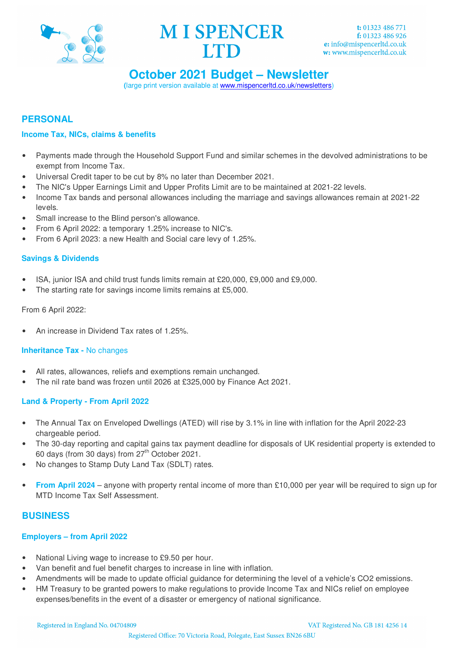



## **October 2021 Budget – Newsletter**

**(**large print version available at www.mispencerltd.co.uk/newsletters)

### **PERSONAL**

#### **Income Tax, NICs, claims & benefits**

- Payments made through the Household Support Fund and similar schemes in the devolved administrations to be exempt from Income Tax.
- Universal Credit taper to be cut by 8% no later than December 2021.
- The NIC's Upper Earnings Limit and Upper Profits Limit are to be maintained at 2021-22 levels.
- Income Tax bands and personal allowances including the marriage and savings allowances remain at 2021-22 levels.
- Small increase to the Blind person's allowance.
- From 6 April 2022: a temporary 1.25% increase to NIC's.
- From 6 April 2023: a new Health and Social care levy of 1.25%.

#### **Savings & Dividends**

- ISA, junior ISA and child trust funds limits remain at £20,000, £9,000 and £9,000.
- The starting rate for savings income limits remains at £5,000.

#### From 6 April 2022:

• An increase in Dividend Tax rates of 1.25%.

#### **Inheritance Tax -** No changes

- All rates, allowances, reliefs and exemptions remain unchanged.
- The nil rate band was frozen until 2026 at £325,000 by Finance Act 2021.

#### **Land & Property - From April 2022**

- The Annual Tax on Enveloped Dwellings (ATED) will rise by 3.1% in line with inflation for the April 2022-23 chargeable period.
- The 30-day reporting and capital gains tax payment deadline for disposals of UK residential property is extended to 60 days (from 30 days) from 27<sup>th</sup> October 2021.
- No changes to Stamp Duty Land Tax (SDLT) rates.
- **From April 2024** anyone with property rental income of more than £10,000 per year will be required to sign up for MTD Income Tax Self Assessment.

#### **BUSINESS**

#### **Employers – from April 2022**

- National Living wage to increase to £9.50 per hour.
- Van benefit and fuel benefit charges to increase in line with inflation.
- Amendments will be made to update official guidance for determining the level of a vehicle's CO2 emissions.
- HM Treasury to be granted powers to make regulations to provide Income Tax and NICs relief on employee expenses/benefits in the event of a disaster or emergency of national significance.